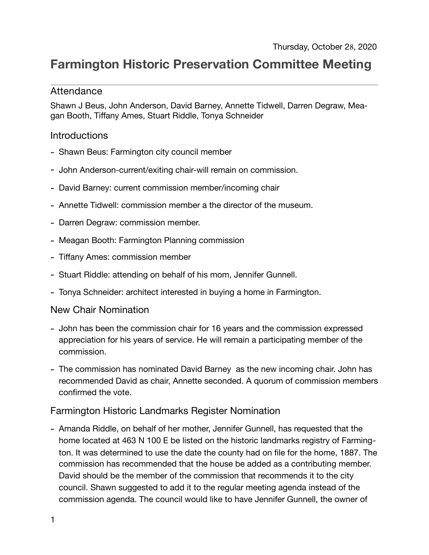# **Farmington Historic Preservation Committee Meeting**

## Attendance

Shawn J Beus, John Anderson, David Barney, Annette Tidwell, Darren Degraw, Meagan Booth, Tiffany Ames, Stuart Riddle, Tonya Schneider

## **Introductions**

- Shawn Beus: Farmington city council member
- John Anderson-current/exiting chair-will remain on commission.
- David Barney: current commission member/incoming chair
- Annette Tidwell: commission member a the director of the museum.
- Darren Degraw: commission member.
- Meagan Booth: Farmington Planning commission
- Tiffany Ames: commission member
- Stuart Riddle: attending on behalf of his mom, Jennifer Gunnell.
- Tonya Schneider: architect interested in buying a home in Farmington.

#### New Chair Nomination

- John has been the commission chair for 16 years and the commission expressed appreciation for his years of service. He will remain a participating member of the commission.
- The commission has nominated David Barney as the new incoming chair. John has recommended David as chair, Annette seconded. A quorum of commission members confirmed the vote.

# Farmington Historic Landmarks Register Nomination

- Amanda Riddle, on behalf of her mother, Jennifer Gunnell, has requested that the home located at 463 N 100 E be listed on the historic landmarks registry of Farmington. It was determined to use the date the county had on file for the home, 1887. The commission has recommended that the house be added as a contributing member. David should be the member of the commission that recommends it to the city council. Shawn suggested to add it to the regular meeting agenda instead of the commission agenda. The council would like to have Jennifer Gunnell, the owner of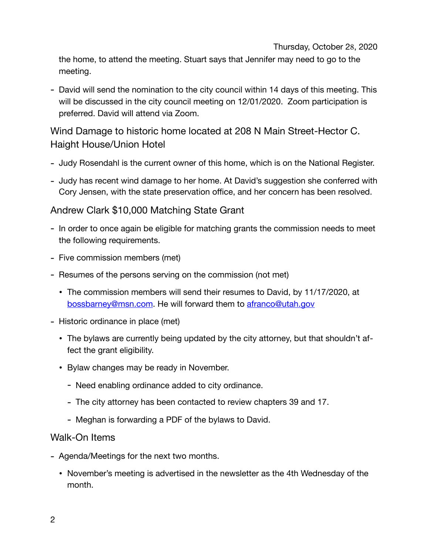Thursday, October 28, 2020

the home, to attend the meeting. Stuart says that Jennifer may need to go to the meeting.

- David will send the nomination to the city council within 14 days of this meeting. This will be discussed in the city council meeting on 12/01/2020. Zoom participation is preferred. David will attend via Zoom.

Wind Damage to historic home located at 208 N Main Street-Hector C. Haight House/Union Hotel

- Judy Rosendahl is the current owner of this home, which is on the National Register.
- Judy has recent wind damage to her home. At David's suggestion she conferred with Cory Jensen, with the state preservation office, and her concern has been resolved.

# Andrew Clark \$10,000 Matching State Grant

- In order to once again be eligible for matching grants the commission needs to meet the following requirements.
- Five commission members (met)
- Resumes of the persons serving on the commission (not met)
	- The commission members will send their resumes to David, by 11/17/2020, at [bossbarney@msn.com](mailto:bossbarney@msn.com). He will forward them to [afranco@utah.gov](mailto:afranco@utah.gov)
- Historic ordinance in place (met)
	- The bylaws are currently being updated by the city attorney, but that shouldn't affect the grant eligibility.
	- Bylaw changes may be ready in November.
		- Need enabling ordinance added to city ordinance.
		- The city attorney has been contacted to review chapters 39 and 17.
		- Meghan is forwarding a PDF of the bylaws to David.

# Walk-On Items

- Agenda/Meetings for the next two months.
	- November's meeting is advertised in the newsletter as the 4th Wednesday of the month.